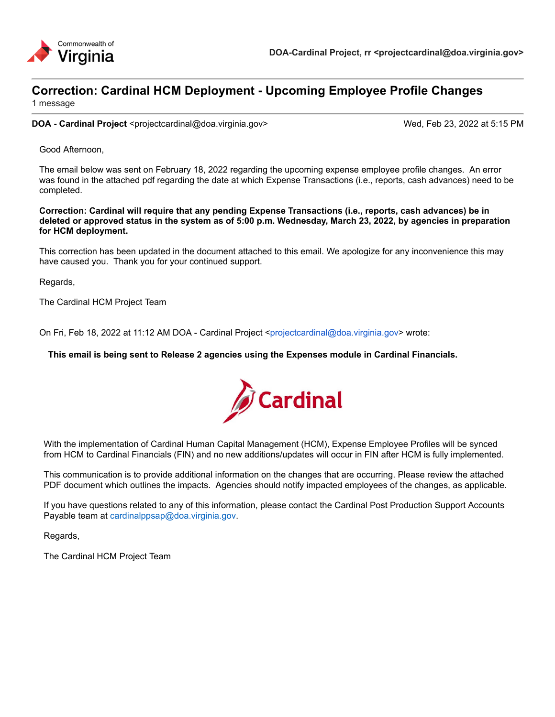

### **Correction: Cardinal HCM Deployment - Upcoming Employee Profile Changes**

1 message

**DOA - Cardinal Project** <projectcardinal@doa.virginia.gov> Wed, Feb 23, 2022 at 5:15 PM

Good Afternoon,

The email below was sent on February 18, 2022 regarding the upcoming expense employee profile changes. An error was found in the attached pdf regarding the date at which Expense Transactions (i.e., reports, cash advances) need to be completed.

**Correction: Cardinal will require that any pending Expense Transactions (i.e., reports, cash advances) be in deleted or approved status in the system as of 5:00 p.m. Wednesday, March 23, 2022, by agencies in preparation for HCM deployment.**

This correction has been updated in the document attached to this email. We apologize for any inconvenience this may have caused you. Thank you for your continued support.

Regards,

The Cardinal HCM Project Team

On Fri, Feb 18, 2022 at 11:12 AM DOA - Cardinal Project <projectcardinal@doa.virginia.gov> wrote:

**This email is being sent to Release 2 agencies using the Expenses module in Cardinal Financials.**



With the implementation of Cardinal Human Capital Management (HCM), Expense Employee Profiles will be synced from HCM to Cardinal Financials (FIN) and no new additions/updates will occur in FIN after HCM is fully implemented.

This communication is to provide additional information on the changes that are occurring. Please review the attached PDF document which outlines the impacts. Agencies should notify impacted employees of the changes, as applicable.

If you have questions related to any of this information, please contact the Cardinal Post Production Support Accounts Payable team at cardinalppsap@doa.virginia.gov.

Regards,

The Cardinal HCM Project Team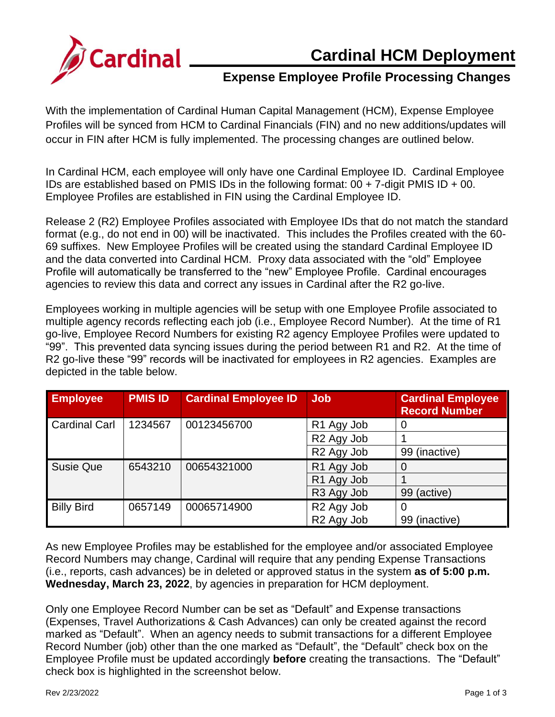

## **Cardinal HCM Deployment**

# **Expense Employee Profile Processing Changes**

With the implementation of Cardinal Human Capital Management (HCM), Expense Employee Profiles will be synced from HCM to Cardinal Financials (FIN) and no new additions/updates will occur in FIN after HCM is fully implemented. The processing changes are outlined below.

In Cardinal HCM, each employee will only have one Cardinal Employee ID. Cardinal Employee IDs are established based on PMIS IDs in the following format:  $00 + 7$ -digit PMIS ID + 00. Employee Profiles are established in FIN using the Cardinal Employee ID.

Release 2 (R2) Employee Profiles associated with Employee IDs that do not match the standard format (e.g., do not end in 00) will be inactivated. This includes the Profiles created with the 60- 69 suffixes. New Employee Profiles will be created using the standard Cardinal Employee ID and the data converted into Cardinal HCM. Proxy data associated with the "old" Employee Profile will automatically be transferred to the "new" Employee Profile. Cardinal encourages agencies to review this data and correct any issues in Cardinal after the R2 go-live.

Employees working in multiple agencies will be setup with one Employee Profile associated to multiple agency records reflecting each job (i.e., Employee Record Number). At the time of R1 go-live, Employee Record Numbers for existing R2 agency Employee Profiles were updated to "99". This prevented data syncing issues during the period between R1 and R2. At the time of R2 go-live these "99" records will be inactivated for employees in R2 agencies. Examples are depicted in the table below.

| <b>Employee</b>      | <b>PMIS ID</b> | <b>Cardinal Employee ID</b> | <b>Job</b>             | <b>Cardinal Employee</b><br><b>Record Number</b> |
|----------------------|----------------|-----------------------------|------------------------|--------------------------------------------------|
| <b>Cardinal Carl</b> | 1234567        | 00123456700                 | R <sub>1</sub> Agy Job | 0                                                |
|                      |                |                             | R <sub>2</sub> Agy Job |                                                  |
|                      |                |                             | R <sub>2</sub> Agy Job | 99 (inactive)                                    |
| <b>Susie Que</b>     | 6543210        | 00654321000                 | R1 Agy Job             | 0                                                |
|                      |                |                             | R <sub>1</sub> Agy Job |                                                  |
|                      |                |                             | R <sub>3</sub> Agy Job | 99 (active)                                      |
| <b>Billy Bird</b>    | 0657149        | 00065714900                 | R <sub>2</sub> Agy Job | $\Omega$                                         |
|                      |                |                             | R <sub>2</sub> Agy Job | (inactive)<br>99                                 |

As new Employee Profiles may be established for the employee and/or associated Employee Record Numbers may change, Cardinal will require that any pending Expense Transactions (i.e., reports, cash advances) be in deleted or approved status in the system **as of 5:00 p.m. Wednesday, March 23, 2022**, by agencies in preparation for HCM deployment.

Only one Employee Record Number can be set as "Default" and Expense transactions (Expenses, Travel Authorizations & Cash Advances) can only be created against the record marked as "Default". When an agency needs to submit transactions for a different Employee Record Number (job) other than the one marked as "Default", the "Default" check box on the Employee Profile must be updated accordingly **before** creating the transactions. The "Default" check box is highlighted in the screenshot below.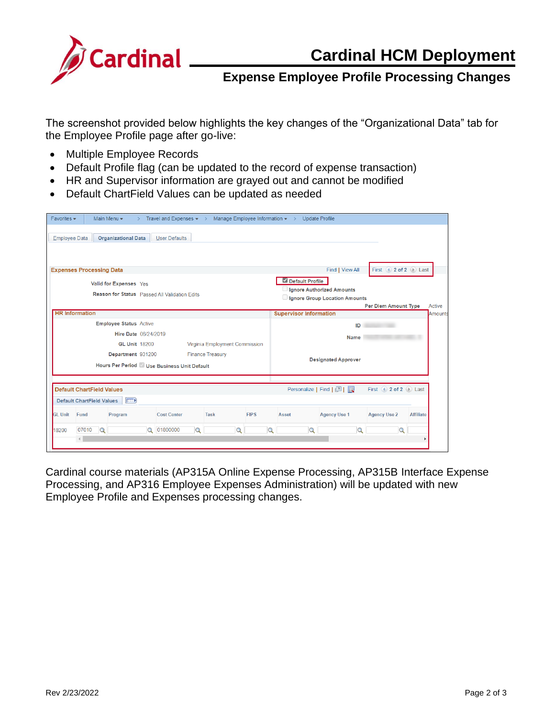

#### **Expense Employee Profile Processing Changes**

The screenshot provided below highlights the key changes of the "Organizational Data" tab for the Employee Profile page after go-live:

- Multiple Employee Records
- Default Profile flag (can be updated to the record of expense transaction)
- HR and Supervisor information are grayed out and cannot be modified
- Default ChartField Values can be updated as needed

| $Favorites -$                                                                                                                                                          | Main Menu -                                            | $\rightarrow$        | Travel and Expenses $\bullet \rightarrow$ Manage Employee Information $\bullet \rightarrow$ |             |                                                                                           |                               | <b>Update Profile</b> |                     |                  |         |
|------------------------------------------------------------------------------------------------------------------------------------------------------------------------|--------------------------------------------------------|----------------------|---------------------------------------------------------------------------------------------|-------------|-------------------------------------------------------------------------------------------|-------------------------------|-----------------------|---------------------|------------------|---------|
| <b>Employee Data</b>                                                                                                                                                   | <b>Organizational Data</b>                             |                      | <b>User Defaults</b>                                                                        |             |                                                                                           |                               |                       |                     |                  |         |
| <b>Expenses Processing Data</b>                                                                                                                                        |                                                        |                      |                                                                                             |             | Find   View All<br>First $\bigcirc$ 2 of 2 $\bigcirc$ Last                                |                               |                       |                     |                  |         |
| Valid for Expenses Yes                                                                                                                                                 |                                                        |                      |                                                                                             |             |                                                                                           | Default Profile               |                       |                     |                  |         |
| <b>Reason for Status</b> Passed All Validation Edits                                                                                                                   |                                                        |                      |                                                                                             |             | Ignore Authorized Amounts<br>Ignore Group Location Amounts<br><b>Per Diem Amount Type</b> |                               |                       |                     | Active           |         |
|                                                                                                                                                                        | <b>HR</b> Information                                  |                      |                                                                                             |             |                                                                                           | <b>Supervisor Information</b> |                       |                     |                  | Amounts |
|                                                                                                                                                                        | <b>Employee Status Active</b>                          |                      |                                                                                             |             |                                                                                           |                               | ID                    |                     |                  |         |
|                                                                                                                                                                        |                                                        | Hire Date 06/24/2019 |                                                                                             |             |                                                                                           | Name                          |                       |                     |                  |         |
|                                                                                                                                                                        | Virginia Employment Commission<br><b>GL Unit 18200</b> |                      |                                                                                             |             |                                                                                           |                               |                       |                     |                  |         |
| Department 931200<br><b>Finance Treasury</b><br>Hours Per Period Use Business Unit Default                                                                             |                                                        |                      |                                                                                             |             |                                                                                           | <b>Designated Approver</b>    |                       |                     |                  |         |
| <b>Default ChartField Values</b><br>Personalize   Find   2  <br>First (4) 2 of 2 ( $\blacktriangleright$ Last<br><b>Default ChartField Values</b><br>$F \rightarrow F$ |                                                        |                      |                                                                                             |             |                                                                                           |                               |                       |                     |                  |         |
|                                                                                                                                                                        |                                                        |                      |                                                                                             |             |                                                                                           |                               |                       |                     |                  |         |
| <b>GL Unit</b><br>Fund                                                                                                                                                 | Program                                                |                      | <b>Cost Center</b>                                                                          | <b>Task</b> | <b>FIPS</b>                                                                               | Asset                         | <b>Agency Use 1</b>   | <b>Agency Use 2</b> | <b>Affiliate</b> |         |
| 18200                                                                                                                                                                  | 07010<br>$\Omega$                                      | $\Omega$             | 01800000<br>Q                                                                               | Q           | Q                                                                                         |                               |                       | $\circ$             |                  |         |

Cardinal course materials (AP315A Online Expense Processing, AP315B Interface Expense Processing, and AP316 Employee Expenses Administration) will be updated with new Employee Profile and Expenses processing changes.